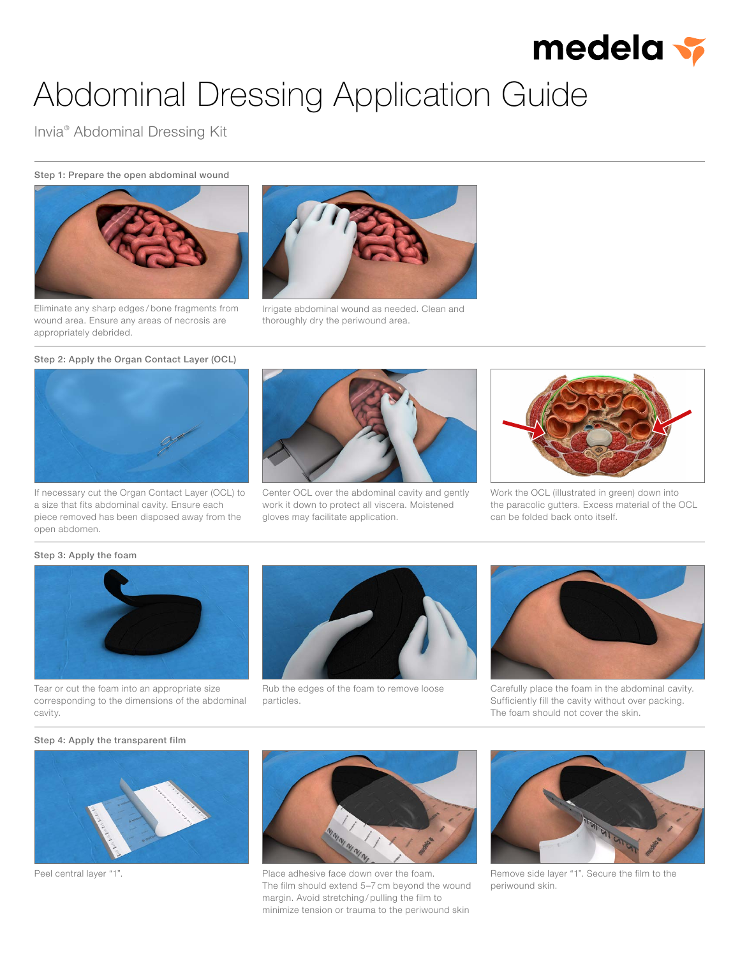

# Abdominal Dressing Application Guide

Invia® Abdominal Dressing Kit

#### Step 1: Prepare the open abdominal wound



Eliminate any sharp edges / bone fragments from wound area. Ensure any areas of necrosis are appropriately debrided.



Irrigate abdominal wound as needed. Clean and thoroughly dry the periwound area.

# Step 2: Apply the Organ Contact Layer (OCL)



If necessary cut the Organ Contact Layer (OCL) to a size that fits abdominal cavity. Ensure each piece removed has been disposed away from the open abdomen.



Center OCL over the abdominal cavity and gently work it down to protect all viscera. Moistened gloves may facilitate application.



Work the OCL (illustrated in green) down into the paracolic gutters. Excess material of the OCL can be folded back onto itself.

## Step 3: Apply the foam



Tear or cut the foam into an appropriate size corresponding to the dimensions of the abdominal cavity.



Rub the edges of the foam to remove loose particles.



Carefully place the foam in the abdominal cavity. Sufficiently fill the cavity without over packing. The foam should not cover the skin.

### Step 4: Apply the transparent film



Peel central layer "1".



Place adhesive face down over the foam. The film should extend 5–7 cm beyond the wound margin. Avoid stretching / pulling the film to minimize tension or trauma to the periwound skin



Remove side layer "1". Secure the film to the periwound skin.